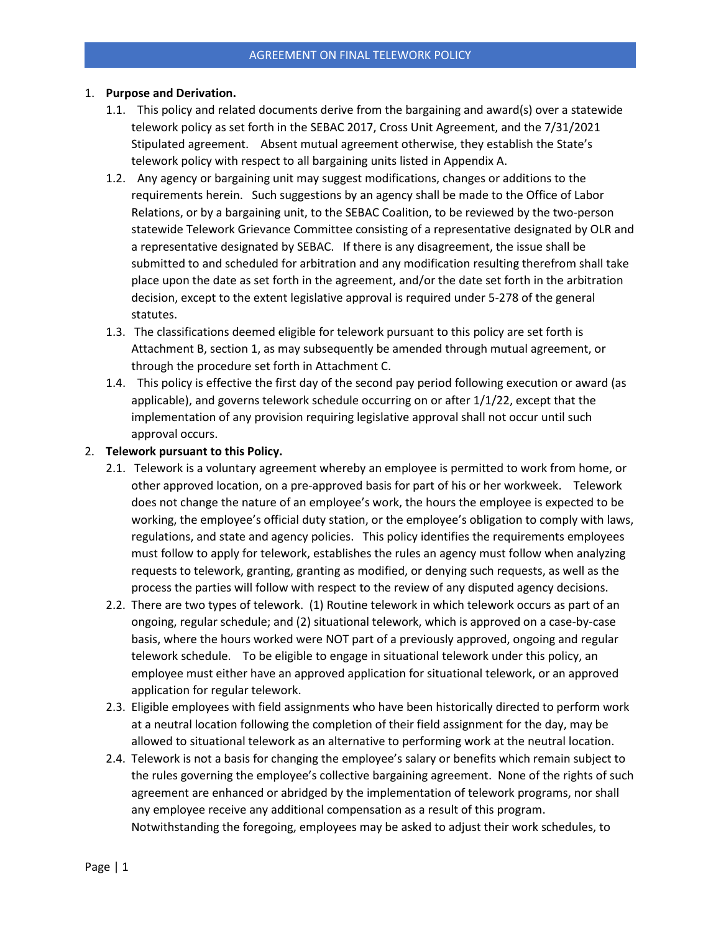#### 1. **Purpose and Derivation.**

- 1.1.This policy and related documents derive from the bargaining and award(s) over a statewide telework policy as set forth in the SEBAC 2017, Cross Unit Agreement, and the 7/31/2021 Stipulated agreement. Absent mutual agreement otherwise, they establish the State's telework policy with respect to all bargaining units listed in Appendix A.
- 1.2. Any agency or bargaining unit may suggest modifications, changes or additions to the requirements herein. Such suggestions by an agency shall be made to the Office of Labor Relations, or by a bargaining unit, to the SEBAC Coalition, to be reviewed by the two-person statewide Telework Grievance Committee consisting of a representative designated by OLR and a representative designated by SEBAC. If there is any disagreement, the issue shall be submitted to and scheduled for arbitration and any modification resulting therefrom shall take place upon the date as set forth in the agreement, and/or the date set forth in the arbitration decision, except to the extent legislative approval is required under 5-278 of the general statutes.
- 1.3. The classifications deemed eligible for telework pursuant to this policy are set forth is Attachment B, section 1, as may subsequently be amended through mutual agreement, or through the procedure set forth in Attachment C.
- 1.4. This policy is effective the first day of the second pay period following execution or award (as applicable), and governs telework schedule occurring on or after  $1/1/22$ , except that the implementation of any provision requiring legislative approval shall not occur until such approval occurs.

#### 2. **Telework pursuant to this Policy.**

- 2.1. Telework is a voluntary agreement whereby an employee is permitted to work from home, or other approved location, on a pre-approved basis for part of his or her workweek. Telework does not change the nature of an employee's work, the hours the employee is expected to be working, the employee's official duty station, or the employee's obligation to comply with laws, regulations, and state and agency policies. This policy identifies the requirements employees must follow to apply for telework, establishes the rules an agency must follow when analyzing requests to telework, granting, granting as modified, or denying such requests, as well as the process the parties will follow with respect to the review of any disputed agency decisions.
- 2.2. There are two types of telework. (1) Routine telework in which telework occurs as part of an ongoing, regular schedule; and (2) situational telework, which is approved on a case-by-case basis, where the hours worked were NOT part of a previously approved, ongoing and regular telework schedule. To be eligible to engage in situational telework under this policy, an employee must either have an approved application for situational telework, or an approved application for regular telework.
- 2.3. Eligible employees with field assignments who have been historically directed to perform work at a neutral location following the completion of their field assignment for the day, may be allowed to situational telework as an alternative to performing work at the neutral location.
- 2.4. Telework is not a basis for changing the employee's salary or benefits which remain subject to the rules governing the employee's collective bargaining agreement. None of the rights of such agreement are enhanced or abridged by the implementation of telework programs, nor shall any employee receive any additional compensation as a result of this program. Notwithstanding the foregoing, employees may be asked to adjust their work schedules, to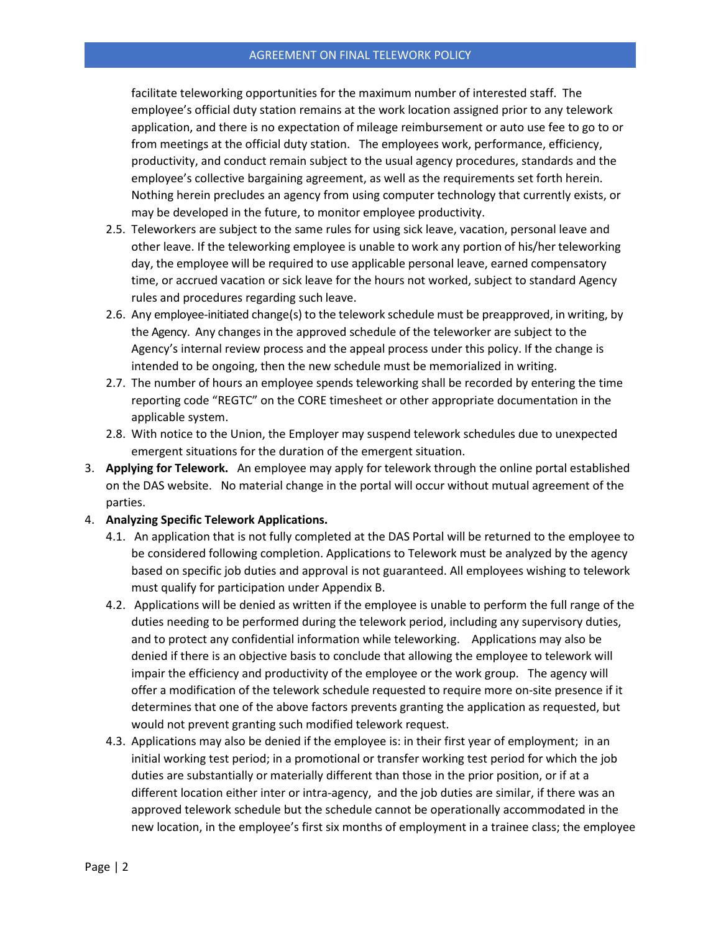facilitate teleworking opportunities for the maximum number of interested staff. The employee's official duty station remains at the work location assigned prior to any telework application, and there is no expectation of mileage reimbursement or auto use fee to go to or from meetings at the official duty station. The employees work, performance, efficiency, productivity, and conduct remain subject to the usual agency procedures, standards and the employee's collective bargaining agreement, as well as the requirements set forth herein. Nothing herein precludes an agency from using computer technology that currently exists, or may be developed in the future, to monitor employee productivity.

- 2.5. Teleworkers are subject to the same rules for using sick leave, vacation, personal leave and other leave. If the teleworking employee is unable to work any portion of his/her teleworking day, the employee will be required to use applicable personal leave, earned compensatory time, or accrued vacation or sick leave for the hours not worked, subject to standard Agency rules and procedures regarding such leave.
- 2.6. Any employee-initiated change(s) to the telework schedule must be preapproved, in writing, by the Agency. Any changesin the approved schedule of the teleworker are subject to the Agency's internal review process and the appeal process under this policy. If the change is intended to be ongoing, then the new schedule must be memorialized in writing.
- 2.7. The number of hours an employee spends teleworking shall be recorded by entering the time reporting code "REGTC" on the CORE timesheet or other appropriate documentation in the applicable system.
- 2.8. With notice to the Union, the Employer may suspend telework schedules due to unexpected emergent situations for the duration of the emergent situation.
- 3. **Applying for Telework.** An employee may apply for telework through the online portal established on the DAS website. No material change in the portal will occur without mutual agreement of the parties.
- 4. **Analyzing Specific Telework Applications.** 
	- 4.1. An application that is not fully completed at the DAS Portal will be returned to the employee to be considered following completion. Applications to Telework must be analyzed by the agency based on specific job duties and approval is not guaranteed. All employees wishing to telework must qualify for participation under Appendix B.
	- 4.2. Applications will be denied as written if the employee is unable to perform the full range of the duties needing to be performed during the telework period, including any supervisory duties, and to protect any confidential information while teleworking. Applications may also be denied if there is an objective basis to conclude that allowing the employee to telework will impair the efficiency and productivity of the employee or the work group. The agency will offer a modification of the telework schedule requested to require more on-site presence if it determines that one of the above factors prevents granting the application as requested, but would not prevent granting such modified telework request.
	- 4.3. Applications may also be denied if the employee is: in their first year of employment; in an initial working test period; in a promotional or transfer working test period for which the job duties are substantially or materially different than those in the prior position, or if at a different location either inter or intra-agency, and the job duties are similar, if there was an approved telework schedule but the schedule cannot be operationally accommodated in the new location, in the employee's first six months of employment in a trainee class; the employee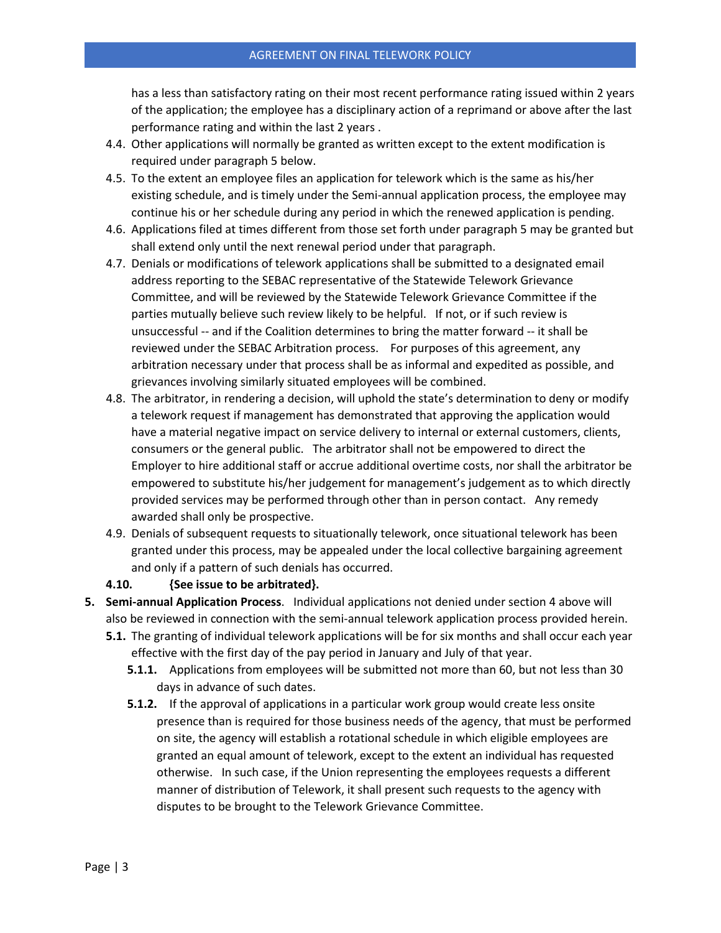has a less than satisfactory rating on their most recent performance rating issued within 2 years of the application; the employee has a disciplinary action of a reprimand or above after the last performance rating and within the last 2 years .

- 4.4. Other applications will normally be granted as written except to the extent modification is required under paragraph 5 below.
- 4.5. To the extent an employee files an application for telework which is the same as his/her existing schedule, and is timely under the Semi-annual application process, the employee may continue his or her schedule during any period in which the renewed application is pending.
- 4.6. Applications filed at times different from those set forth under paragraph 5 may be granted but shall extend only until the next renewal period under that paragraph.
- 4.7. Denials or modifications of telework applications shall be submitted to a designated email address reporting to the SEBAC representative of the Statewide Telework Grievance Committee, and will be reviewed by the Statewide Telework Grievance Committee if the parties mutually believe such review likely to be helpful. If not, or if such review is unsuccessful -- and if the Coalition determines to bring the matter forward -- it shall be reviewed under the SEBAC Arbitration process. For purposes of this agreement, any arbitration necessary under that process shall be as informal and expedited as possible, and grievances involving similarly situated employees will be combined.
- 4.8. The arbitrator, in rendering a decision, will uphold the state's determination to deny or modify a telework request if management has demonstrated that approving the application would have a material negative impact on service delivery to internal or external customers, clients, consumers or the general public. The arbitrator shall not be empowered to direct the Employer to hire additional staff or accrue additional overtime costs, nor shall the arbitrator be empowered to substitute his/her judgement for management's judgement as to which directly provided services may be performed through other than in person contact. Any remedy awarded shall only be prospective.
- 4.9. Denials of subsequent requests to situationally telework, once situational telework has been granted under this process, may be appealed under the local collective bargaining agreement and only if a pattern of such denials has occurred.

## **4.10. {See issue to be arbitrated}.**

- **5. Semi-annual Application Process**. Individual applications not denied under section 4 above will also be reviewed in connection with the semi-annual telework application process provided herein.
	- **5.1.** The granting of individual telework applications will be for six months and shall occur each year effective with the first day of the pay period in January and July of that year.
		- **5.1.1.** Applications from employees will be submitted not more than 60, but not less than 30 days in advance of such dates.
		- **5.1.2.** If the approval of applications in a particular work group would create less onsite presence than is required for those business needs of the agency, that must be performed on site, the agency will establish a rotational schedule in which eligible employees are granted an equal amount of telework, except to the extent an individual has requested otherwise. In such case, if the Union representing the employees requests a different manner of distribution of Telework, it shall present such requests to the agency with disputes to be brought to the Telework Grievance Committee.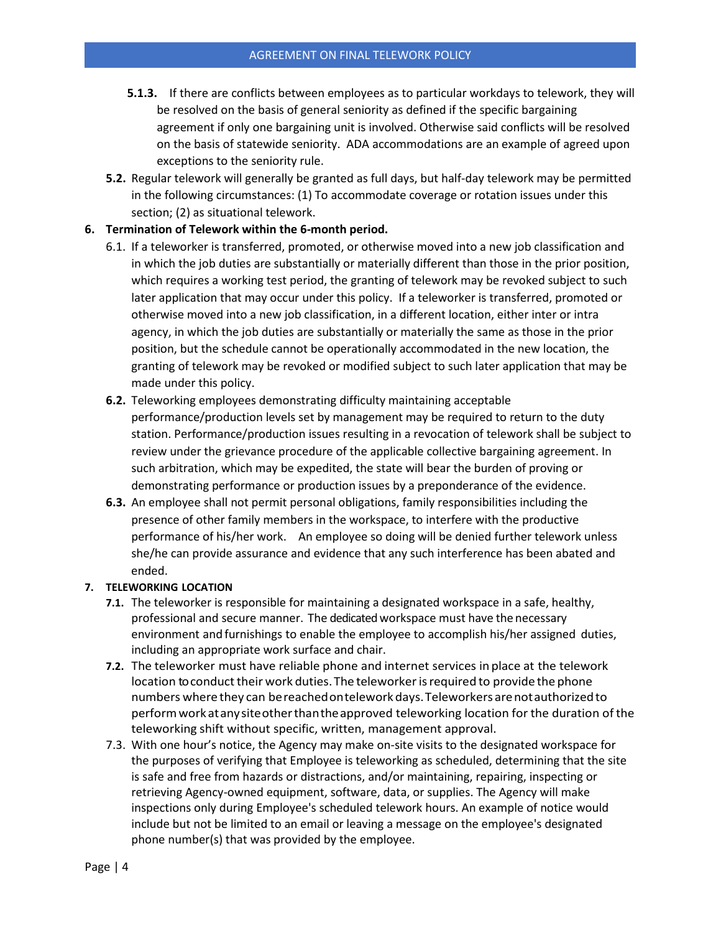- **5.1.3.** If there are conflicts between employees as to particular workdays to telework, they will be resolved on the basis of general seniority as defined if the specific bargaining agreement if only one bargaining unit is involved. Otherwise said conflicts will be resolved on the basis of statewide seniority. ADA accommodations are an example of agreed upon exceptions to the seniority rule.
- **5.2.** Regular telework will generally be granted as full days, but half-day telework may be permitted in the following circumstances: (1) To accommodate coverage or rotation issues under this section; (2) as situational telework.

#### **6. Termination of Telework within the 6-month period.**

- 6.1. If a teleworker is transferred, promoted, or otherwise moved into a new job classification and in which the job duties are substantially or materially different than those in the prior position, which requires a working test period, the granting of telework may be revoked subject to such later application that may occur under this policy. If a teleworker is transferred, promoted or otherwise moved into a new job classification, in a different location, either inter or intra agency, in which the job duties are substantially or materially the same as those in the prior position, but the schedule cannot be operationally accommodated in the new location, the granting of telework may be revoked or modified subject to such later application that may be made under this policy.
- **6.2.** Teleworking employees demonstrating difficulty maintaining acceptable performance/production levels set by management may be required to return to the duty station. Performance/production issues resulting in a revocation of telework shall be subject to review under the grievance procedure of the applicable collective bargaining agreement. In such arbitration, which may be expedited, the state will bear the burden of proving or demonstrating performance or production issues by a preponderance of the evidence.
- **6.3.** An employee shall not permit personal obligations, family responsibilities including the presence of other family members in the workspace, to interfere with the productive performance of his/her work. An employee so doing will be denied further telework unless she/he can provide assurance and evidence that any such interference has been abated and ended.

#### **7. TELEWORKING LOCATION**

- **7.1.** The teleworker is responsible for maintaining a designated workspace in a safe, healthy, professional and secure manner. The dedicated workspace must have the necessary environment and furnishings to enable the employee to accomplish his/her assigned duties, including an appropriate work surface and chair.
- **7.2.** The teleworker must have reliable phone and internet services in place at the telework location to conduct their work duties. The teleworker is required to provide the phone numbers where they can bereachedonteleworkdays.Teleworkers arenotauthorizedto performworkatanysiteotherthantheapproved teleworking location for the duration of the teleworking shift without specific, written, management approval.
- 7.3. With one hour's notice, the Agency may make on-site visits to the designated workspace for the purposes of verifying that Employee is teleworking as scheduled, determining that the site is safe and free from hazards or distractions, and/or maintaining, repairing, inspecting or retrieving Agency-owned equipment, software, data, or supplies. The Agency will make inspections only during Employee's scheduled telework hours. An example of notice would include but not be limited to an email or leaving a message on the employee's designated phone number(s) that was provided by the employee.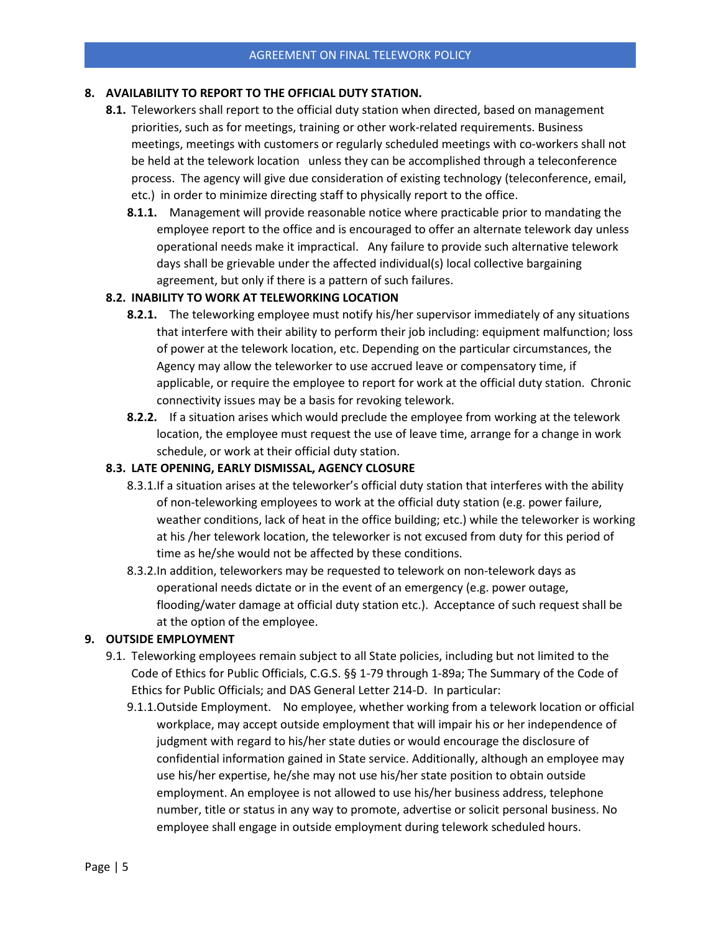## **8. AVAILABILITY TO REPORT TO THE OFFICIAL DUTY STATION.**

- **8.1.** Teleworkers shall report to the official duty station when directed, based on management priorities, such as for meetings, training or other work-related requirements. Business meetings, meetings with customers or regularly scheduled meetings with co-workers shall not be held at the telework location unless they can be accomplished through a teleconference process. The agency will give due consideration of existing technology (teleconference, email, etc.) in order to minimize directing staff to physically report to the office.
	- **8.1.1.** Management will provide reasonable notice where practicable prior to mandating the employee report to the office and is encouraged to offer an alternate telework day unless operational needs make it impractical. Any failure to provide such alternative telework days shall be grievable under the affected individual(s) local collective bargaining agreement, but only if there is a pattern of such failures.

## **8.2. INABILITY TO WORK AT TELEWORKING LOCATION**

- **8.2.1.** The teleworking employee must notify his/her supervisor immediately of any situations that interfere with their ability to perform their job including: equipment malfunction; loss of power at the telework location, etc. Depending on the particular circumstances, the Agency may allow the teleworker to use accrued leave or compensatory time, if applicable, or require the employee to report for work at the official duty station. Chronic connectivity issues may be a basis for revoking telework.
- **8.2.2.** If a situation arises which would preclude the employee from working at the telework location, the employee must request the use of leave time, arrange for a change in work schedule, or work at their official duty station.

#### **8.3. LATE OPENING, EARLY DISMISSAL, AGENCY CLOSURE**

- 8.3.1.If a situation arises at the teleworker's official duty station that interferes with the ability of non-teleworking employees to work at the official duty station (e.g. power failure, weather conditions, lack of heat in the office building; etc.) while the teleworker is working at his /her telework location, the teleworker is not excused from duty for this period of time as he/she would not be affected by these conditions.
- 8.3.2.In addition, teleworkers may be requested to telework on non-telework days as operational needs dictate or in the event of an emergency (e.g. power outage, flooding/water damage at official duty station etc.). Acceptance of such request shall be at the option of the employee.

#### **9. OUTSIDE EMPLOYMENT**

- 9.1. Teleworking employees remain subject to all State policies, including but not limited to the Code of Ethics for Public Officials, C.G.S. §§ 1-79 through 1-89a; The Summary of the Code of Ethics for Public Officials; and DAS General Letter 214-D. In particular:
	- 9.1.1.Outside Employment. No employee, whether working from a telework location or official workplace, may accept outside employment that will impair his or her independence of judgment with regard to his/her state duties or would encourage the disclosure of confidential information gained in State service. Additionally, although an employee may use his/her expertise, he/she may not use his/her state position to obtain outside employment. An employee is not allowed to use his/her business address, telephone number, title or status in any way to promote, advertise or solicit personal business. No employee shall engage in outside employment during telework scheduled hours.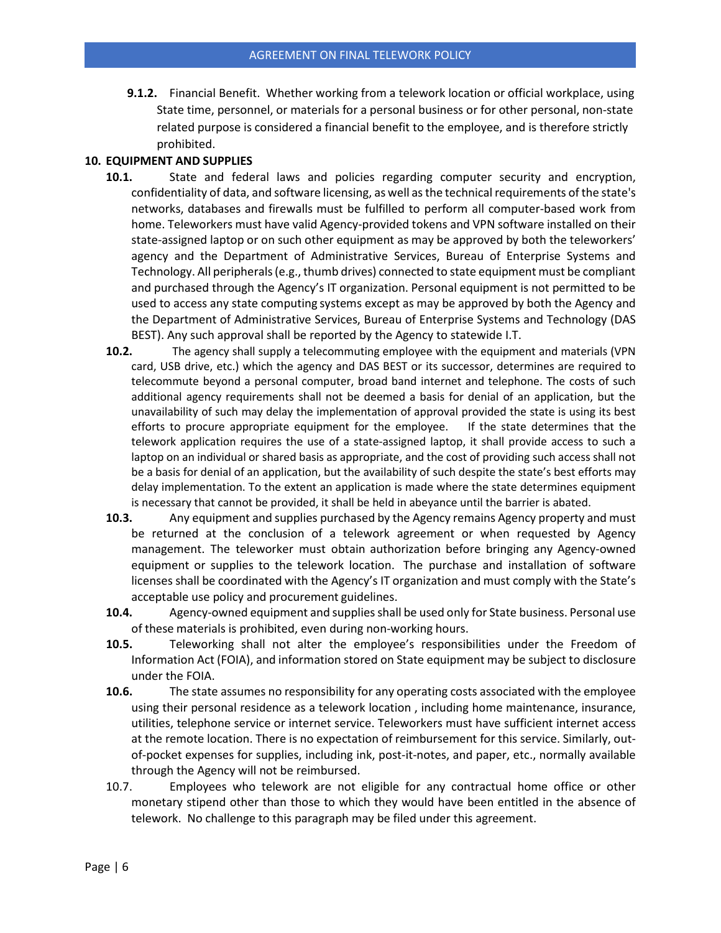**9.1.2.** Financial Benefit. Whether working from a telework location or official workplace, using State time, personnel, or materials for a personal business or for other personal, non-state related purpose is considered a financial benefit to the employee, and is therefore strictly prohibited.

## **10. EQUIPMENT AND SUPPLIES**

- **10.1.** State and federal laws and policies regarding computer security and encryption, confidentiality of data, and software licensing, as well as the technical requirements of the state's networks, databases and firewalls must be fulfilled to perform all computer-based work from home. Teleworkers must have valid Agency-provided tokens and VPN software installed on their state-assigned laptop or on such other equipment as may be approved by both the teleworkers' agency and the Department of Administrative Services, Bureau of Enterprise Systems and Technology. All peripherals (e.g., thumb drives) connected to state equipment must be compliant and purchased through the Agency's IT organization. Personal equipment is not permitted to be used to access any state computing systems except as may be approved by both the Agency and the Department of Administrative Services, Bureau of Enterprise Systems and Technology (DAS BEST). Any such approval shall be reported by the Agency to statewide I.T.
- **10.2.** The agency shall supply a telecommuting employee with the equipment and materials (VPN card, USB drive, etc.) which the agency and DAS BEST or its successor, determines are required to telecommute beyond a personal computer, broad band internet and telephone. The costs of such additional agency requirements shall not be deemed a basis for denial of an application, but the unavailability of such may delay the implementation of approval provided the state is using its best efforts to procure appropriate equipment for the employee. If the state determines that the telework application requires the use of a state-assigned laptop, it shall provide access to such a laptop on an individual or shared basis as appropriate, and the cost of providing such access shall not be a basis for denial of an application, but the availability of such despite the state's best efforts may delay implementation. To the extent an application is made where the state determines equipment is necessary that cannot be provided, it shall be held in abeyance until the barrier is abated.
- **10.3.** Any equipment and supplies purchased by the Agency remains Agency property and must be returned at the conclusion of a telework agreement or when requested by Agency management. The teleworker must obtain authorization before bringing any Agency-owned equipment or supplies to the telework location. The purchase and installation of software licenses shall be coordinated with the Agency's IT organization and must comply with the State's acceptable use policy and procurement guidelines.
- **10.4.** Agency-owned equipment and suppliesshall be used only for State business. Personal use of these materials is prohibited, even during non-working hours.
- **10.5.** Teleworking shall not alter the employee's responsibilities under the Freedom of Information Act (FOIA), and information stored on State equipment may be subject to disclosure under the FOIA.
- **10.6.** The state assumes no responsibility for any operating costs associated with the employee using their personal residence as a telework location , including home maintenance, insurance, utilities, telephone service or internet service. Teleworkers must have sufficient internet access at the remote location. There is no expectation of reimbursement for this service. Similarly, outof-pocket expenses for supplies, including ink, post-it-notes, and paper, etc., normally available through the Agency will not be reimbursed.
- 10.7. Employees who telework are not eligible for any contractual home office or other monetary stipend other than those to which they would have been entitled in the absence of telework. No challenge to this paragraph may be filed under this agreement.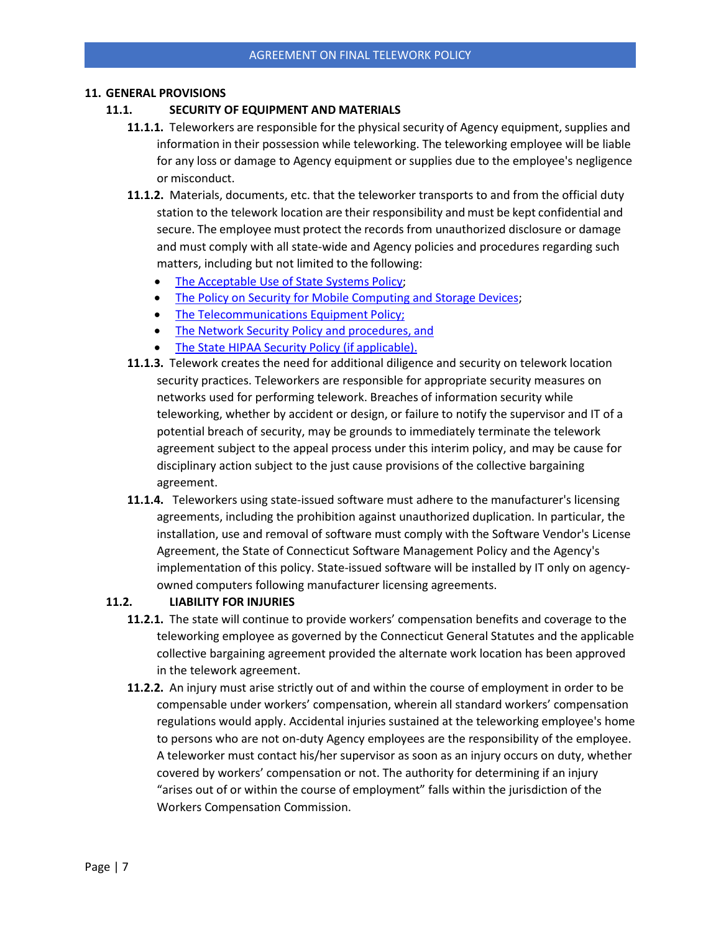#### **11. GENERAL PROVISIONS**

#### **11.1. SECURITY OF EQUIPMENT AND MATERIALS**

- **11.1.1.** Teleworkers are responsible for the physical security of Agency equipment, supplies and information in their possession while teleworking. The teleworking employee will be liable for any loss or damage to Agency equipment or supplies due to the employee's negligence or misconduct.
- **11.1.2.** Materials, documents, etc. that the teleworker transports to and from the official duty station to the telework location are their responsibility and must be kept confidential and secure. The employee must protect the records from unauthorized disclosure or damage and must comply with all state-wide and Agency policies and procedures regarding such matters, including but not limited to the following:
	- [The Acceptable Use of State Systems](http://www.ct.gov/opm/cwp/view.asp?a=3006&q=561676) Policy;
	- [The Policy on Security for Mobile Computing and Storage](http://www.ct.gov/opm/cwp/view.asp?a=3006&q=561694) Devices;
	- [The Telecommunications Equipment](http://www.ct.gov/opm/cwp/view.asp?a=3006&q=561674) Policy;
	- [The Network Security Policy and procedures,](http://www.ct.gov/opm/cwp/view.asp?a=3006&q=561698) and
	- [The State HIPAA Security Policy \(if](http://www.ct.gov/opm/lib/opm/policies/state_hipaa_security_policies_release_2.0_-_letter_print.pdf) applicable).
- **11.1.3.** Telework creates the need for additional diligence and security on telework location security practices. Teleworkers are responsible for appropriate security measures on networks used for performing telework. Breaches of information security while teleworking, whether by accident or design, or failure to notify the supervisor and IT of a potential breach of security, may be grounds to immediately terminate the telework agreement subject to the appeal process under this interim policy, and may be cause for disciplinary action subject to the just cause provisions of the collective bargaining agreement.
- **11.1.4.** Teleworkers using state-issued software must adhere to the manufacturer's licensing agreements, including the prohibition against unauthorized duplication. In particular, the installation, use and removal of software must comply with the Software Vendor's License Agreement, the State of Connecticut Software Management Policy and the Agency's implementation of this policy. State-issued software will be installed by IT only on agencyowned computers following manufacturer licensing agreements.

# **11.2. LIABILITY FOR INJURIES**

- **11.2.1.** The state will continue to provide workers' compensation benefits and coverage to the teleworking employee as governed by the Connecticut General Statutes and the applicable collective bargaining agreement provided the alternate work location has been approved in the telework agreement.
- **11.2.2.** An injury must arise strictly out of and within the course of employment in order to be compensable under workers' compensation, wherein all standard workers' compensation regulations would apply. Accidental injuries sustained at the teleworking employee's home to persons who are not on-duty Agency employees are the responsibility of the employee. A teleworker must contact his/her supervisor as soon as an injury occurs on duty, whether covered by workers' compensation or not. The authority for determining if an injury "arises out of or within the course of employment" falls within the jurisdiction of the Workers Compensation Commission.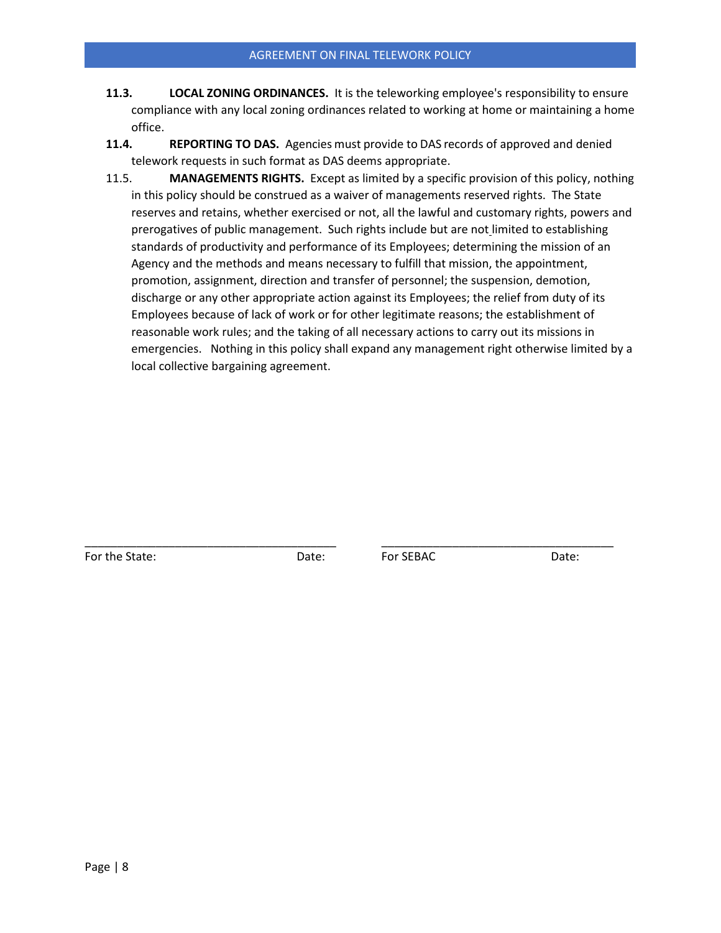- **11.3. LOCAL ZONING ORDINANCES.** It is the teleworking employee's responsibility to ensure compliance with any local zoning ordinances related to working at home or maintaining a home office.
- **11.4. REPORTING TO DAS.** Agencies must provide to DAS records of approved and denied telework requests in such format as DAS deems appropriate.
- 11.5. **MANAGEMENTS RIGHTS.** Except as limited by a specific provision of this policy, nothing in this policy should be construed as a waiver of managements reserved rights. The State reserves and retains, whether exercised or not, all the lawful and customary rights, powers and prerogatives of public management. Such rights include but are not limited to establishing standards of productivity and performance of its Employees; determining the mission of an Agency and the methods and means necessary to fulfill that mission, the appointment, promotion, assignment, direction and transfer of personnel; the suspension, demotion, discharge or any other appropriate action against its Employees; the relief from duty of its Employees because of lack of work or for other legitimate reasons; the establishment of reasonable work rules; and the taking of all necessary actions to carry out its missions in emergencies. Nothing in this policy shall expand any management right otherwise limited by a local collective bargaining agreement.

For the State: The State: The State: Date: Por SEBAC Date: Date:

\_\_\_\_\_\_\_\_\_\_\_\_\_\_\_\_\_\_\_\_\_\_\_\_\_\_\_\_\_\_\_\_\_\_\_\_\_\_\_ \_\_\_\_\_\_\_\_\_\_\_\_\_\_\_\_\_\_\_\_\_\_\_\_\_\_\_\_\_\_\_\_\_\_\_\_